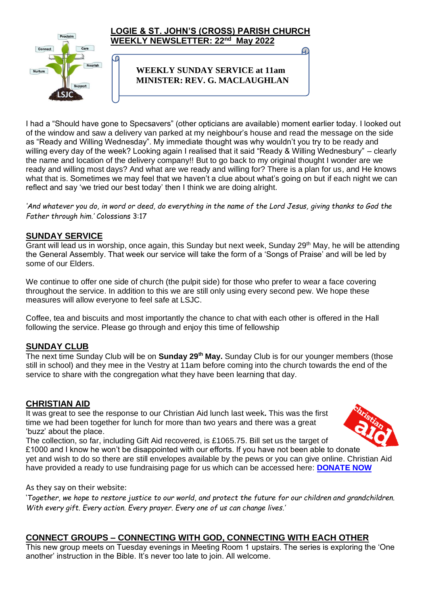

I had a "Should have gone to Specsavers" (other opticians are available) moment earlier today. I looked out of the window and saw a delivery van parked at my neighbour's house and read the message on the side as "Ready and Willing Wednesday". My immediate thought was why wouldn't you try to be ready and willing every day of the week? Looking again I realised that it said "Ready & Willing Wednesbury" – clearly the name and location of the delivery company!! But to go back to my original thought I wonder are we ready and willing most days? And what are we ready and willing for? There is a plan for us, and He knows what that is. Sometimes we may feel that we haven't a clue about what's going on but if each night we can reflect and say 'we tried our best today' then I think we are doing alright.

*'And whatever you do, in word or deed, do everything in the name of the Lord Jesus, giving thanks to God the Father through him.'* Colossians 3:17

### **SUNDAY SERVICE**

Grant will lead us in worship, once again, this Sunday but next week, Sunday 29<sup>th</sup> May, he will be attending the General Assembly. That week our service will take the form of a 'Songs of Praise' and will be led by some of our Elders.

We continue to offer one side of church (the pulpit side) for those who prefer to wear a face covering throughout the service. In addition to this we are still only using every second pew. We hope these measures will allow everyone to feel safe at LSJC.

Coffee, tea and biscuits and most importantly the chance to chat with each other is offered in the Hall following the service. Please go through and enjoy this time of fellowship

### **SUNDAY CLUB**

The next time Sunday Club will be on **Sunday 29th May.** Sunday Club is for our younger members (those still in school) and they mee in the Vestry at 11am before coming into the church towards the end of the service to share with the congregation what they have been learning that day.

#### **CHRISTIAN AID**

It was great to see the response to our Christian Aid lunch last week**.** This was the first time we had been together for lunch for more than two years and there was a great 'buzz' about the place.

The collection, so far, including Gift Aid recovered, is £1065.75. Bill set us the target of £1000 and I know he won't be disappointed with our efforts. If you have not been able to donate yet and wish to do so there are still envelopes available by the pews or you can give online. Christian Aid have provided a ready to use fundraising page for us which can be accessed here: **[DONATE NOW](https://giving.give-star.com/microsite/christian-aid/christian-aid-week/team/17fdcac9-f3b8-422a-8b86-1bcbb6d1e36a?fbclid=IwAR3cXZFhMlsqThJlKLUEVJOPBMtyYGC7gb8Zp0EBr7CkC6rYbh2-Jm3s8EU)**

As they say on their website:

'*Together, we hope to restore justice to our world, and protect the future for our children and grandchildren. With every gift. Every action. Every prayer. Every one of us can change lives.'*

### **CONNECT GROUPS – CONNECTING WITH GOD, CONNECTING WITH EACH OTHER**

This new group meets on Tuesday evenings in Meeting Room 1 upstairs. The series is exploring the 'One another' instruction in the Bible. It's never too late to join. All welcome.